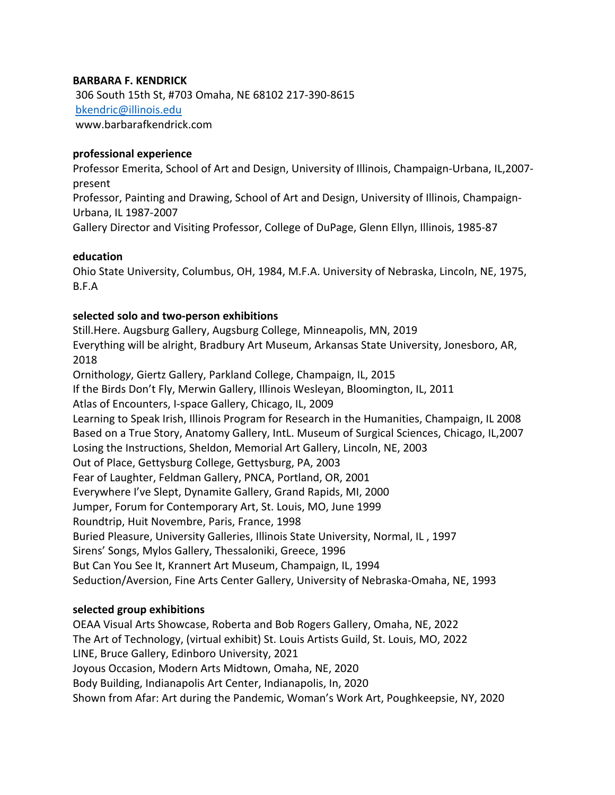### **BARBARA F. KENDRICK**

306 South 15th St, #703 Omaha, NE 68102 217-390-8615 bkendric@illinois.edu www.barbarafkendrick.com

#### **professional experience**

Professor Emerita, School of Art and Design, University of Illinois, Champaign-Urbana, IL,2007 present

Professor, Painting and Drawing, School of Art and Design, University of Illinois, Champaign-Urbana, IL 1987-2007

Gallery Director and Visiting Professor, College of DuPage, Glenn Ellyn, Illinois, 1985-87

#### **education**

Ohio State University, Columbus, OH, 1984, M.F.A. University of Nebraska, Lincoln, NE, 1975, B.F.A

## **selected solo and two-person exhibitions**

Still.Here. Augsburg Gallery, Augsburg College, Minneapolis, MN, 2019 Everything will be alright, Bradbury Art Museum, Arkansas State University, Jonesboro, AR, 2018 Ornitholog*y*, Giertz Gallery, Parkland College, Champaign, IL, 2015 If the Birds Don't Fly, Merwin Gallery, Illinois Wesleyan, Bloomington, IL, 2011 Atlas of Encounters, I-space Gallery, Chicago, IL, 2009 Learning to Speak Irish, Illinois Program for Research in the Humanities, Champaign, IL 2008 Based on a True Story, Anatomy Gallery, IntL. Museum of Surgical Sciences, Chicago, IL,2007 Losing the Instructions, Sheldon, Memorial Art Gallery, Lincoln, NE, 2003 Out of Place, Gettysburg College, Gettysburg, PA, 2003 Fear of Laughter, Feldman Gallery, PNCA, Portland, OR, 2001 Everywhere I've Slept, Dynamite Gallery, Grand Rapids, MI, 2000 Jumper, Forum for Contemporary Art, St. Louis, MO, June 1999 Roundtrip, Huit Novembre, Paris, France, 1998 Buried Pleasure, University Galleries, Illinois State University, Normal, IL , 1997 Sirens' Songs, Mylos Gallery, Thessaloniki, Greece, 1996 But Can You See It, Krannert Art Museum, Champaign, IL, 1994 Seduction/Aversion, Fine Arts Center Gallery, University of Nebraska-Omaha, NE, 1993

## **selected group exhibitions**

OEAA Visual Arts Showcase, Roberta and Bob Rogers Gallery, Omaha, NE, 2022 The Art of Technology, (virtual exhibit) St. Louis Artists Guild, St. Louis, MO, 2022 LINE, Bruce Gallery, Edinboro University, 2021 Joyous Occasion, Modern Arts Midtown, Omaha, NE, 2020 Body Building, Indianapolis Art Center, Indianapolis, In, 2020 Shown from Afar: Art during the Pandemic, Woman's Work Art, Poughkeepsie, NY, 2020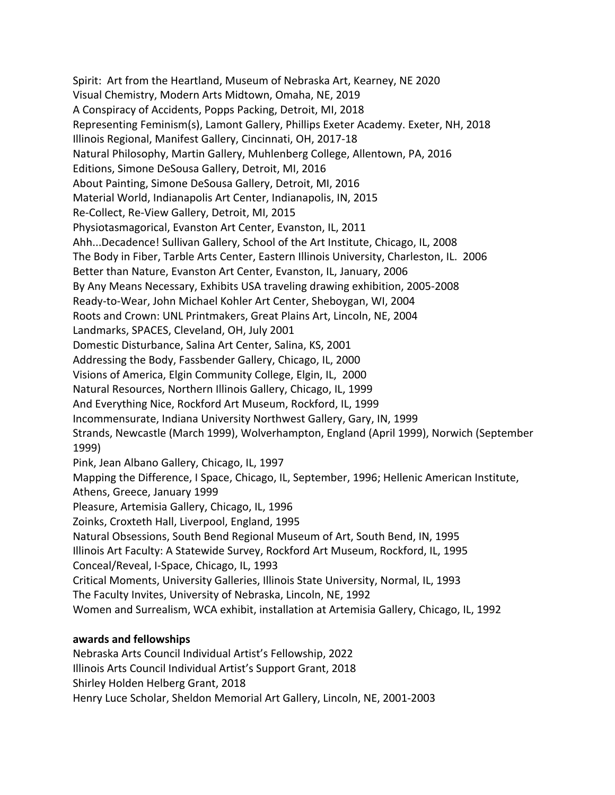Spirit: Art from the Heartland, Museum of Nebraska Art, Kearney, NE 2020 Visual Chemistry, Modern Arts Midtown, Omaha, NE, 2019 A Conspiracy of Accidents, Popps Packing, Detroit, MI, 2018 Representing Feminism(s), Lamont Gallery, Phillips Exeter Academy. Exeter, NH, 2018 Illinois Regional, Manifest Gallery, Cincinnati, OH, 2017-18 Natural Philosophy, Martin Gallery, Muhlenberg College, Allentown, PA, 2016 Editions, Simone DeSousa Gallery, Detroit, MI, 2016 About Painting, Simone DeSousa Gallery, Detroit, MI, 2016 Material World, Indianapolis Art Center, Indianapolis, IN, 2015 Re-Collect, Re-View Gallery, Detroit, MI, 2015 Physiotasmagorical, Evanston Art Center, Evanston, IL, 2011 Ahh...Decadence! Sullivan Gallery, School of the Art Institute, Chicago, IL, 2008 The Body in Fiber, Tarble Arts Center, Eastern Illinois University, Charleston, IL. 2006 Better than Nature, Evanston Art Center, Evanston, IL, January, 2006 By Any Means Necessary, Exhibits USA traveling drawing exhibition, 2005-2008 Ready-to-Wear, John Michael Kohler Art Center, Sheboygan, WI, 2004 Roots and Crown: UNL Printmakers, Great Plains Art, Lincoln, NE, 2004 Landmarks, SPACES, Cleveland, OH, July 2001 Domestic Disturbance, Salina Art Center, Salina, KS, 2001 Addressing the Body, Fassbender Gallery, Chicago, IL, 2000 Visions of America, Elgin Community College, Elgin, IL, 2000 Natural Resources, Northern Illinois Gallery, Chicago, IL, 1999 And Everything Nice, Rockford Art Museum, Rockford, IL, 1999 Incommensurate, Indiana University Northwest Gallery, Gary, IN, 1999 Strands, Newcastle (March 1999), Wolverhampton, England (April 1999), Norwich (September 1999) Pink, Jean Albano Gallery, Chicago, IL, 1997 Mapping the Difference, I Space, Chicago, IL, September, 1996; Hellenic American Institute, Athens, Greece, January 1999 Pleasure, Artemisia Gallery, Chicago, IL, 1996 Zoinks, Croxteth Hall, Liverpool, England, 1995 Natural Obsessions, South Bend Regional Museum of Art, South Bend, IN, 1995 Illinois Art Faculty: A Statewide Survey, Rockford Art Museum, Rockford, IL, 1995 Conceal/Reveal, I-Space, Chicago, IL, 1993 Critical Moments, University Galleries, Illinois State University, Normal, IL, 1993 The Faculty Invites, University of Nebraska, Lincoln, NE, 1992 Women and Surrealism, WCA exhibit, installation at Artemisia Gallery, Chicago, IL, 1992

# **awards and fellowships**

Nebraska Arts Council Individual Artist's Fellowship, 2022

Illinois Arts Council Individual Artist's Support Grant, 2018

Shirley Holden Helberg Grant, 2018

Henry Luce Scholar, Sheldon Memorial Art Gallery, Lincoln, NE, 2001-2003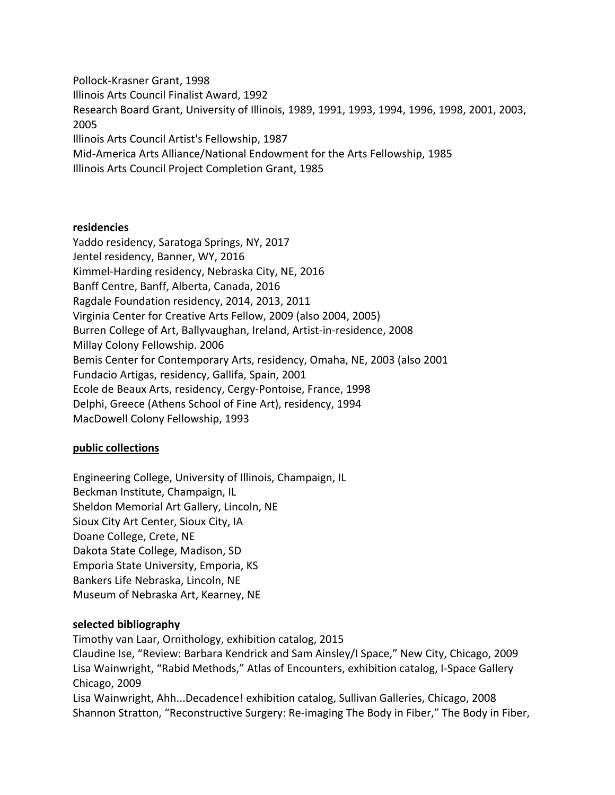Pollock-Krasner Grant, 1998 Illinois Arts Council Finalist Award, 1992 Research Board Grant, University of Illinois, 1989, 1991, 1993, 1994, 1996, 1998, 2001, 2003, 2005 Illinois Arts Council Artist's Fellowship, 1987 Mid-America Arts Alliance/National Endowment for the Arts Fellowship, 1985 Illinois Arts Council Project Completion Grant, 1985

#### **residencies**

Yaddo residency, Saratoga Springs, NY, 2017 Jentel residency, Banner, WY, 2016 Kimmel-Harding residency, Nebraska City, NE, 2016 Banff Centre, Banff, Alberta, Canada, 2016 Ragdale Foundation residency, 2014, 2013, 2011 Virginia Center for Creative Arts Fellow, 2009 (also 2004, 2005) Burren College of Art, Ballyvaughan, Ireland, Artist-in-residence, 2008 Millay Colony Fellowship. 2006 Bemis Center for Contemporary Arts, residency, Omaha, NE, 2003 (also 2001 Fundacio Artigas, residency, Gallifa, Spain, 2001 Ecole de Beaux Arts, residency, Cergy-Pontoise, France, 1998 Delphi, Greece (Athens School of Fine Art), residency, 1994 MacDowell Colony Fellowship, 1993

## **public collections**

Engineering College, University of Illinois, Champaign, IL Beckman Institute, Champaign, IL Sheldon Memorial Art Gallery, Lincoln, NE Sioux City Art Center, Sioux City, IA Doane College, Crete, NE Dakota State College, Madison, SD Emporia State University, Emporia, KS Bankers Life Nebraska, Lincoln, NE Museum of Nebraska Art, Kearney, NE

#### **selected bibliography**

Timothy van Laar, Ornithology, exhibition catalog, 2015 Claudine Ise, "Review: Barbara Kendrick and Sam Ainsley/I Space," New City, Chicago, 2009 Lisa Wainwright, "Rabid Methods," Atlas of Encounters, exhibition catalog, I-Space Gallery Chicago, 2009 Lisa Wainwright, Ahh...Decadence! exhibition catalog, Sullivan Galleries, Chicago, 2008 Shannon Stratton, "Reconstructive Surgery: Re-imaging The Body in Fiber," The Body in Fiber,